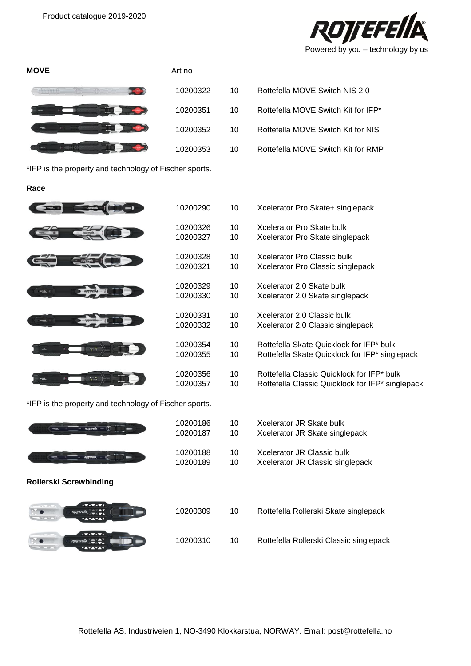



\*IFP is the property and technology of Fischer sports.

## **Race**



\*IFP is the property and technology of Fischer sports.

| <b>ROWEFEIIA</b>                                        | 10200<br>10200 |
|---------------------------------------------------------|----------------|
| <b>ROYEFElls</b>                                        | 10200<br>10200 |
| <b>Rollerski Screwbinding</b>                           |                |
| AVAVAVA<br>14 Th 1979.<br>ROTTEFEIIA<br>н<br><b>TUU</b> | 10200          |
| <b>AVAVAVA</b><br>or in 1970.<br><b>ROTTEFEIIA</b>      | 10200          |

| 10200290             | 10       | Xcelerator Pro Skate+ singlepack                 |
|----------------------|----------|--------------------------------------------------|
| 10200326<br>10200327 | 10<br>10 | Xcelerator Pro Skate bulk                        |
|                      |          | Xcelerator Pro Skate singlepack                  |
| 10200328             | 10       | Xcelerator Pro Classic bulk                      |
| 10200321             | 10       | Xcelerator Pro Classic singlepack                |
| 10200329             | 10       | Xcelerator 2.0 Skate bulk                        |
| 10200330             | 10       | Xcelerator 2.0 Skate singlepack                  |
| 10200331             | 10       | Xcelerator 2.0 Classic bulk                      |
| 10200332             | 10       | Xcelerator 2.0 Classic singlepack                |
| 10200354             | 10       | Rottefella Skate Quicklock for IFP* bulk         |
| 10200355             | 10       | Rottefella Skate Quicklock for IFP* singlepack   |
| 10200356             | 10       | Rottefella Classic Quicklock for IFP* bulk       |
| 10200357             | 10       | Rottefella Classic Quicklock for IFP* singlepack |

| 10200186 | 10  | Xcelerator JR Skate bulk       |
|----------|-----|--------------------------------|
| 10200187 | 10. | Xcelerator JR Skate singlepack |
| 10200188 | 10. | Xcelerator JR Classic bulk     |

10 Xcelerator JR Classic singlepack

| 10200309 | 10 | Rottefella Rollerski Skate singlepack   |
|----------|----|-----------------------------------------|
| 10200310 | 10 | Rottefella Rollerski Classic singlepack |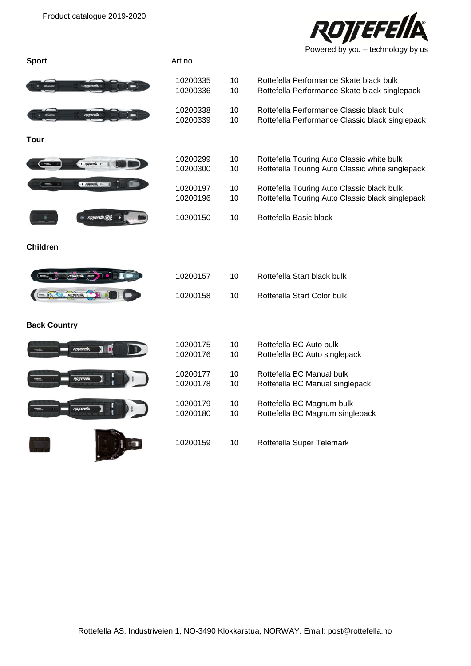

| <b>Sport</b>                     | Art no               |          |                                                                                                |
|----------------------------------|----------------------|----------|------------------------------------------------------------------------------------------------|
| ROTTEFEIIA                       | 10200335<br>10200336 | 10<br>10 | Rottefella Performance Skate black bulk<br>Rottefella Performance Skate black singlepack       |
| ROTTEFEIIA<br><b>ROTTEFRIGHT</b> | 10200338<br>10200339 | 10<br>10 | Rottefella Performance Classic black bulk<br>Rottefella Performance Classic black singlepack   |
| Tour                             |                      |          |                                                                                                |
| $\frac{1}{2}$ ROWEFEIIA 1-       | 10200299<br>10200300 | 10<br>10 | Rottefella Touring Auto Classic white bulk<br>Rottefella Touring Auto Classic white singlepack |
| $-1$ <i>ROWEFEIIA</i> $1 -$      | 10200197<br>10200196 | 10<br>10 | Rottefella Touring Auto Classic black bulk<br>Rottefella Touring Auto Classic black singlepack |
| ROTEFEIIA                        | 10200150             | 10       | Rottefella Basic black                                                                         |
| <b>Children</b>                  |                      |          |                                                                                                |
|                                  | 10200157             | 10       | Rottefella Start black bulk                                                                    |
| ROTTEFEIIA                       | 10200158             | 10       | Rottefella Start Color bulk                                                                    |
| <b>Back Country</b>              |                      |          |                                                                                                |
| ROTTEFEIIN                       | 10200175<br>10200176 | 10<br>10 | Rottefella BC Auto bulk<br>Rottefella BC Auto singlepack                                       |
| ROTTEFEIIA                       | 10200177<br>10200178 | 10<br>10 | Rottefella BC Manual bulk<br>Rottefella BC Manual singlepack                                   |
| ROTTEFEIIA                       | 10200179<br>10200180 | 10<br>10 | Rottefella BC Magnum bulk<br>Rottefella BC Magnum singlepack                                   |
|                                  | 10200159             | 10       | Rottefella Super Telemark                                                                      |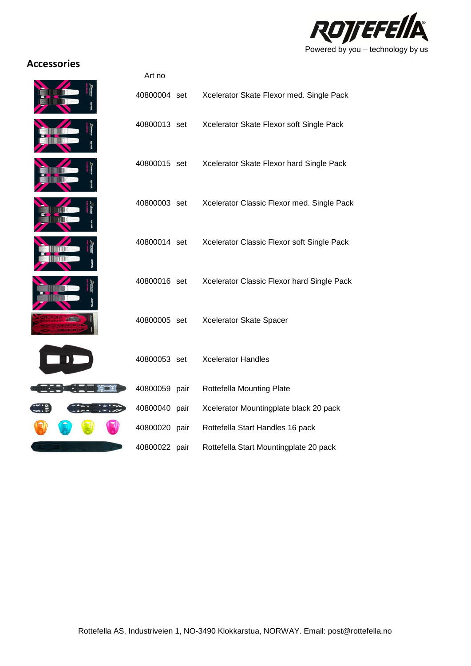

## **Accessories**



| Art no        |      |                                            |
|---------------|------|--------------------------------------------|
| 40800004 set  |      | Xcelerator Skate Flexor med. Single Pack   |
| 40800013 set  |      | Xcelerator Skate Flexor soft Single Pack   |
| 40800015 set  |      | Xcelerator Skate Flexor hard Single Pack   |
| 40800003 set  |      | Xcelerator Classic Flexor med. Single Pack |
| 40800014 set  |      | Xcelerator Classic Flexor soft Single Pack |
| 40800016 set  |      | Xcelerator Classic Flexor hard Single Pack |
| 40800005 set  |      | Xcelerator Skate Spacer                    |
| 40800053 set  |      | <b>Xcelerator Handles</b>                  |
| 40800059 pair |      | Rottefella Mounting Plate                  |
| 40800040 pair |      | Xcelerator Mountingplate black 20 pack     |
| 40800020 pair |      | Rottefella Start Handles 16 pack           |
| 40800022      | pair | Rottefella Start Mountingplate 20 pack     |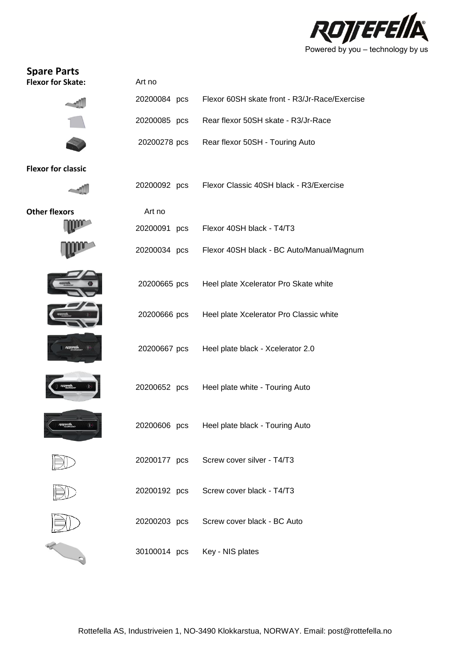

| <b>Spare Parts</b><br><b>Flexor for Skate:</b> | Art no       |                                               |
|------------------------------------------------|--------------|-----------------------------------------------|
|                                                | 20200084 pcs | Flexor 60SH skate front - R3/Jr-Race/Exercise |
|                                                | 20200085 pcs | Rear flexor 50SH skate - R3/Jr-Race           |
|                                                | 20200278 pcs | Rear flexor 50SH - Touring Auto               |
| <b>Flexor for classic</b>                      |              |                                               |
|                                                | 20200092 pcs | Flexor Classic 40SH black - R3/Exercise       |
| <b>Other flexors</b>                           | Art no       |                                               |
|                                                | 20200091 pcs | Flexor 40SH black - T4/T3                     |
|                                                | 20200034 pcs | Flexor 40SH black - BC Auto/Manual/Magnum     |
|                                                | 20200665 pcs | Heel plate Xcelerator Pro Skate white         |
|                                                | 20200666 pcs | Heel plate Xcelerator Pro Classic white       |
|                                                | 20200667 pcs | Heel plate black - Xcelerator 2.0             |
|                                                | 20200652 pcs | Heel plate white - Touring Auto               |
|                                                | 20200606 pcs | Heel plate black - Touring Auto               |
|                                                | 20200177 pcs | Screw cover silver - T4/T3                    |
|                                                | 20200192 pcs | Screw cover black - T4/T3                     |
|                                                | 20200203 pcs | Screw cover black - BC Auto                   |
|                                                | 30100014 pcs | Key - NIS plates                              |